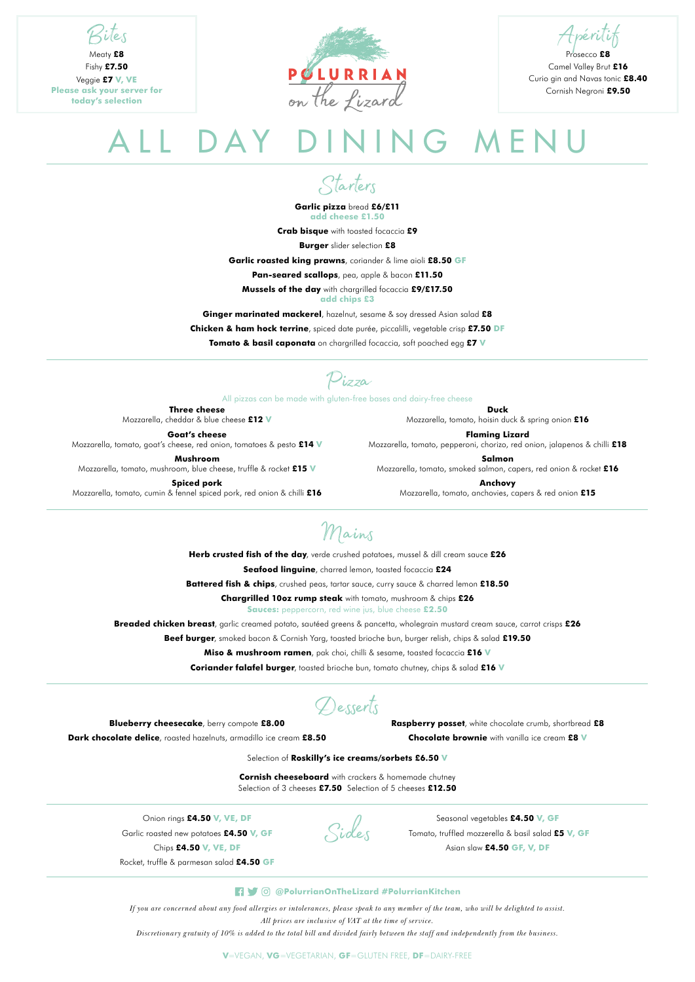## ALL DAY DINING MENU

*If you are concerned about any food allergies or intolerances, please speak to any member of the team, who will be delighted to assist. All prices are inclusive of VAT at the time of service.*

*Discretionary gratuity of 10% is added to the total bill and divided fairly between the staff and independently from the business.*

Mains

**Herb crusted fish of the day**, verde crushed potatoes, mussel & dill cream sauce **£26 Seafood linguine**, charred lemon, toasted focaccia **£24** 

**Battered fish & chips**, crushed peas, tartar sauce, curry sauce & charred lemon **£18.50**

**Chargrilled 10oz rump steak** with tomato, mushroom & chips **£26**

**Sauces:** peppercorn, red wine jus, blue cheese **£2.50**

**Breaded chicken breast**, garlic creamed potato, sautéed greens & pancetta, wholegrain mustard cream sauce, carrot crisps **£26** 

**Beef burger**, smoked bacon & Cornish Yarg, toasted brioche bun, burger relish, chips & salad **£19.50**

**Miso & mushroom ramen**, pak choi, chilli & sesame, toasted focaccia **£16 V**

**Coriander falafel burger**, toasted brioche bun, tomato chutney, chips & salad **£16 V**

**Blueberry cheesecake**, berry compote **£8.00**

**Dark chocolate delice**, roasted hazelnuts, armadillo ice cream **£8.50**

**Raspberry posset**, white chocolate crumb, shortbread **£8** 

**Chocolate brownie** with vanilla ice cream **£8 V**

Desserts

Bites Meaty **£8**

Fishy **£7.50**

Veggie **£7 V, VE Please ask your server for today's selection**



Apéritif

Prosecco **£8** Camel Valley Brut **£16** Curio gin and Navas tonic **£8.40** Cornish Negroni **£9.50**

Starters

**Garlic pizza** bread **£6/£11 add cheese £1.50**

**Crab bisque** with toasted focaccia **£9 Burger** slider selection **£8 Garlic roasted king prawns**, coriander & lime aioli **£8.50 GF Pan-seared scallops**, pea, apple & bacon **£11.50 Mussels of the day** with chargrilled focaccia **£9/£17.50 add chips £3 Ginger marinated mackerel**, hazelnut, sesame & soy dressed Asian salad **£8 Chicken & ham hock terrine**, spiced date purée, piccalilli, vegetable crisp **£7.50 DF Tomato & basil caponata** on chargrilled focaccia, soft poached egg **£7 V**

Pizza

All pizzas can be made with gluten-free bases and dairy-free cheese

Sides

**Three cheese**  Mozzarella, cheddar & blue cheese **£12 V**

**Goat's cheese** Mozzarella, tomato, goat's cheese, red onion, tomatoes & pesto **£14 V**

**Mushroom** Mozzarella, tomato, mushroom, blue cheese, truffle & rocket **£15 V**

**Spiced pork** Mozzarella, tomato, cumin & fennel spiced pork, red onion & chilli **£16**

**Duck** Mozzarella, tomato, hoisin duck & spring onion **£16** 

**Flaming Lizard** Mozzarella, tomato, pepperoni, chorizo, red onion, jalapenos & chilli **£18**

**Salmon** Mozzarella, tomato, smoked salmon, capers, red onion & rocket **£16**

**Anchovy** Mozzarella, tomato, anchovies, capers & red onion **£15**

Seasonal vegetables **£4.50 V, GF**

Tomato, truffled mozzerella & basil salad **£5 V, GF**

Asian slaw **£4.50 GF, V, DF**

## **19 @PolurrianOnTheLizard #PolurrianKitchen**

Onion rings **£4.50 V, VE, DF** Garlic roasted new potatoes **£4.50 V, GF** Chips **£4.50 V, VE, DF**

Rocket, truffle & parmesan salad **£4.50 GF**

**V**=VEGAN, **VG**=VEGETARIAN, **GF**=GLUTEN FREE, **DF**=DAIRY-FREE

Selection of **Roskilly's ice creams/sorbets £6.50 V**

**Cornish cheeseboard** with crackers & homemade chutney Selection of 3 cheeses **£7.50** Selection of 5 cheeses **£12.50**